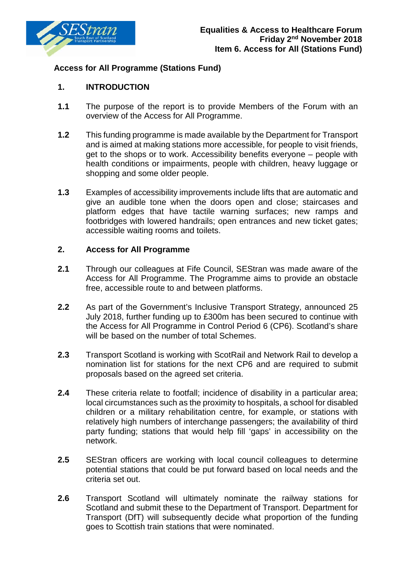

## **Access for All Programme (Stations Fund)**

## **1. INTRODUCTION**

- **1.1** The purpose of the report is to provide Members of the Forum with an overview of the Access for All Programme.
- **1.2** This funding programme is made available by the Department for Transport and is aimed at making stations more accessible, for people to visit friends, get to the shops or to work. Accessibility benefits everyone – people with health conditions or impairments, people with children, heavy luggage or shopping and some older people.
- **1.3** Examples of accessibility improvements include lifts that are automatic and give an audible tone when the doors open and close; staircases and platform edges that have tactile warning surfaces; new ramps and footbridges with lowered handrails; open entrances and new ticket gates; accessible waiting rooms and toilets.

## **2. Access for All Programme**

- **2.1** Through our colleagues at Fife Council, SEStran was made aware of the Access for All Programme. The Programme aims to provide an obstacle free, accessible route to and between platforms.
- **2.2** As part of the Government's Inclusive Transport Strategy, announced 25 July 2018, further funding up to £300m has been secured to continue with the Access for All Programme in Control Period 6 (CP6). Scotland's share will be based on the number of total Schemes.
- **2.3** Transport Scotland is working with ScotRail and Network Rail to develop a nomination list for stations for the next CP6 and are required to submit proposals based on the agreed set criteria.
- **2.4** These criteria relate to footfall; incidence of disability in a particular area; local circumstances such as the proximity to hospitals, a school for disabled children or a military rehabilitation centre, for example, or stations with relatively high numbers of interchange passengers; the availability of third party funding; stations that would help fill 'gaps' in accessibility on the network.
- **2.5** SEStran officers are working with local council colleagues to determine potential stations that could be put forward based on local needs and the criteria set out.
- **2.6** Transport Scotland will ultimately nominate the railway stations for Scotland and submit these to the Department of Transport. Department for Transport (DfT) will subsequently decide what proportion of the funding goes to Scottish train stations that were nominated.